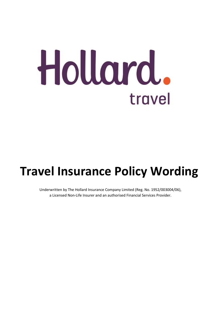# Hollard. travel

## <span id="page-0-0"></span>**Travel Insurance Policy Wording**

Underwritten by The Hollard Insurance Company Limited (Reg. No. 1952/003004/06), a Licensed Non-Life Insurer and an authorised Financial Services Provider.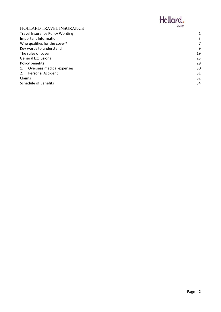

| <b>HOLLARD TRAVEL INSURANCE</b>        | <b>LINACI</b> |
|----------------------------------------|---------------|
| <b>Travel Insurance Policy Wording</b> |               |
| Important Information                  | З             |
| Who qualifies for the cover?           |               |
| Key words to understand                | 9             |
| The rules of cover                     | 19            |
| <b>General Exclusions</b>              | 23            |
| Policy benefits                        | 29            |
| Overseas medical expenses<br>1.        | 30            |
| <b>Personal Accident</b><br>2.         | 31            |
| Claims                                 | 32            |
| <b>Schedule of Benefits</b>            | 34            |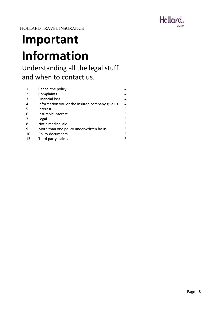

## <span id="page-2-0"></span>**Important Information**

## Understanding all the legal stuff and when to contact us.

| 1.  | Cancel the policy                              |   |
|-----|------------------------------------------------|---|
| 2.  | Complaints                                     | 4 |
| 3.  | <b>Financial loss</b>                          | 4 |
| 4.  | Information you or the insured company give us | 4 |
| -5. | Interest                                       | 5 |
| 6.  | Insurable interest                             | 5 |
| 7.  | Legal                                          | 5 |
| 8.  | Not a medical aid                              | 5 |
| 9.  | More than one policy underwritten by us        | 5 |
| 10. | Policy documents                               | 5 |
| 13. | Third party claims                             | 6 |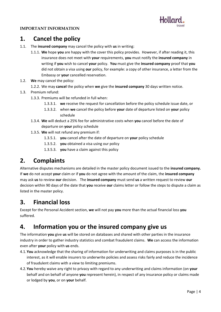

#### **IMPORTANT INFORMATION**

## **1. Cancel the policy**

- 1.1. The **insured company** may cancel the policy with **us** in writing:
	- 1.1.1. **We** hope **you** are happy with the cover this policy provides. However, if after reading it, this insurance does not meet with **your** requirements, **you** must notify the **insured company** in writing if **you** wish to cancel **your** policy. **You** must give the **insured company** proof that **you**  did not obtain a visa using **our** policy, for example: a copy of other insurance, a letter from the Embassy or **your** cancelled reservation.
- 1.2. **We** may cancel the policy:
	- 1.2.2. We may **cancel** the policy when **we** give the **insured company** 30 days written notice.
- 1.3. Premium refund:
	- 1.3.3. Premiums will be refunded in full when:
		- 1.3.3.1. **we** receive the request for cancellation before the policy schedule issue date, or
		- 1.3.3.2. when **we** cancel the policy before **your** date of departure listed on **your** policy schedule
	- 1.3.4. **We** will deduct a 25% fee for administrative costs when **you** cancel before the date of departure on **your** policy schedule
	- 1.3.5. **We** will not refund any premium if:
		- 1.3.5.1. **you** cancel after the date of departure on **your** policy schedule
		- 1.3.5.2. **you** obtained a visa using our policy
		- 1.3.5.3. **you** have a claim against this policy

## **2. Complaints**

Alternative disputes mechanisms are detailed in the master policy document issued to the **insured company.**  If **we** do not accept **your** claim or if **you** do not agree with the amount of the claim, the **insured company** may ask **us** to review **our** decision. The **insured company** must send **us** a written request to review **our**  decision within 90 days of the date that **you** receive **our** claims letter or follow the steps to dispute a claim as listed in the master policy.

## **3. Financial loss**

Except for the Personal Accident section, **we** will not pay **you** more than the actual financial loss **you** suffered.

## **4. Information you or the insured company give us**

The information **you** give **us** will be stored on databases and shared with other parties in the insurance industry in order to gather industry statistics and combat fraudulent claims. **We** can access the information even after **your** policy with **us** ends.

- 4.1.**You** acknowledge that the sharing of information for underwriting and claims purposes is in the public interest, as it will enable insurers to underwrite policies and assess risks fairly and reduce the incidence of fraudulent claims with a view to limiting premiums.
- 4.2.**You** hereby waive any right to privacy with regard to any underwriting and claims information (on **your** behalf and on behalf of anyone **you** represent herein), in respect of any insurance policy or claims made or lodged by **you**, or on **your** behalf.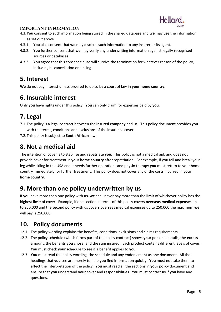

#### **IMPORTANT INFORMATION**

- 4.3.**You** consent to such information being stored in the shared database and **we** may use the information as set out above.
- 4.3.1. **You** also consent that **we** may disclose such information to any insurer or its agent.
- 4.3.2. **You** further consent that **we** may verify any underwriting information against legally recognised sources or databases.
- 4.3.3. **You** agree that this consent clause will survive the termination for whatever reason of the policy, including its cancellation or lapsing.

### **5. Interest**

**We** do not pay interest unless ordered to do so by a court of law in **your home country**.

## **6. Insurable interest**

Only **you** have rights under this policy. **You** can only claim for expenses paid by **you**.

## **7. Legal**

- 7.1.The policy is a legal contract between the **insured company** and **us**. This policy document provides **you** with the terms, conditions and exclusions of the insurance cover.
- 7.2.This policy is subject to **South African** law.

## **8. Not a medical aid**

The intention of cover is to stabilise and repatriate **you**. This policy is not a medical aid, and does not provide cover for treatment in **your home country** after repatriation. For example, if you fall and break your leg while skiing in the USA and it needs further operations and physio therapy **you** must return to your home country immediately for further treatment. This policy does not cover any of the costs incurred in **your home country**.

## **9. More than one policy underwritten by us**

If **you** have more than one policy with **us, we** shall never pay more than the **limit** of whichever policy has the highest **limit** of cover. Example, if one section in terms of this policy covers **overseas medical expenses** up to 250,000 and the second policy with us covers overseas medical expenses up to 250,000 the maximum **we** will pay is 250,000.

## **10. Policy documents**

- 12.1. The policy wording explains the benefits, conditions, exclusions and claims requirements.
- 12.2. The policy schedule (which forms part of the policy contract) shows **your** personal details, the **excess** amount, the benefits **you** chose, and the sum insured. Each product contains different levels of cover. **You** must check **your** schedule to see if a benefit applies to **you**.
- 12.3. **You** must read the policy wording, the schedule and any endorsement as one document. All the headings that **you** see are merely to help **you** find information quickly. **You** must not take them to affect the interpretation of the policy. **You** must read all the sections in **your** policy document and ensure that **you** understand **your** cover and responsibilities. **You** must contact **us** if **you** have any questions.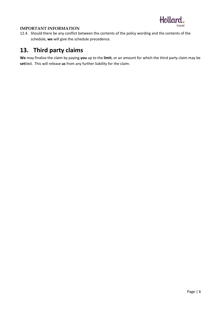

#### **IMPORTANT INFORMATION**

12.4. Should there be any conflict between the contents of the policy wording and the contents of the schedule, **we** will give the schedule precedence.

## **13. Third party claims**

**We** may finalise the claim by paying **you** up to the **limit**, or an amount for which the third party claim may be **set**tled. This will release **us** from any further liability for the claim.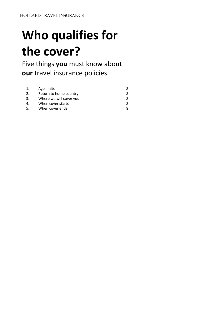## <span id="page-6-0"></span>**Who qualifies for the cover?**

Five things **you** must know about **our** travel insurance policies.

| 1.  | Age limits              |  |
|-----|-------------------------|--|
| 2.  | Return to home country  |  |
| 3.  | Where we will cover you |  |
| 4   | When cover starts       |  |
| .5. | When cover ends         |  |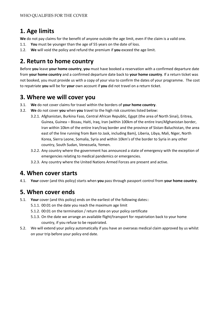## **1. Age limits**

We do not pay claims for the benefit of anyone outside the age limit, even if the claim is a valid one.

- 1.1. **You** must be younger than the age of 55 years on the date of loss.
- 1.2. **We** will void the policy and refund the premium if **you** exceed the age limit.

## **2. Return to home country**

Before **you** leave **your home country**, **you** must have booked a reservation with a confirmed departure date from **your home country** and a confirmed departure date back to **your home country**. If a return ticket was not booked, you must provide us with a copy of your visa to confirm the dates of your programme. The cost to repatriate **you** will be for **your** own account if **you** did not travel on a return ticket.

## **3. Where we will cover you**

- 3.1. **We** do not cover claims for travel within the borders of **your home country**.
- 3.2. **We** do not cover **you** when **you** travel to the high risk countries listed below:
	- 3.2.1. Afghanistan, Burkina Faso, Central African Republic, Egypt (the area of North Sinai), Eritrea, Guinea, Guinea – Bissau, Haiti, Iraq, Iran (within 100km of the entire Iran/Afghanistan border, Iran within 10km of the entire Iran/Iraq border and the province of Sistan-Baluchistan, the area east of the line running from Bam to Jask, including Bam), Liberia, Libya, Mali, Niger, North Korea, Sierra Leone, Somalia, Syria and within 10km's of the border to Syria in any other country, South Sudan, Venezuela, Yemen.
		- 3.2.2. Any country where the government has announced a state of emergency with the exception of emergencies relating to medical pandemics or emergencies.
		- 3.2.3. Any country where the United Nations Armed Forces are present and active.

## **4. When cover starts**

4.1. **Your** cover (and this policy) starts when **you** pass through passport control from **your home country**.

## **5. When cover ends**

- 5.1. **Your** cover (and this policy) ends on the earliest of the following dates::
	- 5.1.1. 00:01 on the date you reach the maximum age limit
	- 5.1.2. 00:01 on the termination / return date on your policy certificate
	- 5.1.3. On the date we arrange an available flight/transport for repatriation back to your home country, if you refuse to be repatriated.
- 5.2. We will extend your policy automatically if you have an overseas medical claim approved by us whilst on your trip before your policy end date.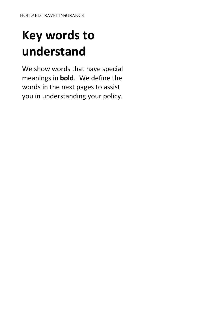## <span id="page-8-0"></span>**Key words to understand**

We show words that have special meanings in **bold**. We define the words in the next pages to assist you in understanding your policy.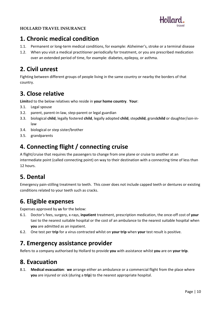

## **1. Chronic medical condition**

- 1.1. Permanent or long-term medical conditions, for example: Alzheimer's, stroke or a terminal disease
- 1.2. When you visit a medical practitioner periodically for treatment, or you are prescribed medication over an extended period of time, for example: diabetes, epilepsy, or asthma.

## **2. Civil unrest**

Fighting between different groups of people living in the same country or nearby the borders of that country.

## **3. Close relative**

**Limit**ed to the below relatives who reside in **your home country**. **Your**:

- 3.1. Legal spouse
- 3.2. parent, parent-in-law, step-parent or legal guardian
- 3.3. biological **child**, legally fostered **child**, legally adopted **child**, step**child**, grand**child** or daughter/son-inlaw
- 3.4. biological or step sister/brother
- 3.5. grandparents

## **4. Connecting flight / connecting cruise**

A flight/cruise that requires the passengers to change from one plane or cruise to another at an intermediate point (called connecting point) on way to their destination with a connecting time of less than 12 hours.

## **5. Dental**

Emergency pain-stilling treatment to teeth. This cover does not include capped teeth or dentures or existing conditions related to your teeth such as cracks.

## **6. Eligible expenses**

Expenses approved by **us** for the below:

- 6.1. Doctor's fees, surgery, x-rays, **inpatient** treatment, prescription medication, the once-off cost of **your** taxi to the nearest suitable hospital or the cost of an ambulance to the nearest suitable hospital when **you** are admitted as an inpatient.
- 6.2. One test per **trip** for a virus contracted whilst on **your trip** when **your** test result is positive.

### **7. Emergency assistance provider**

Refers to a company authorised by Hollard to provide **you** with assistance whilst **you** are on **your trip**.

## **8. Evacuation**

8.1. **Medical evacuation**: **we** arrange either an ambulance or a commercial flight from the place where **you** are injured or sick (during a **trip**) to the nearest appropriate hospital.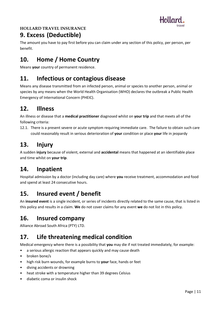

## **9. Excess (Deductible)**

The amount you have to pay first before you can claim under any section of this policy, per person, per benefit.

## **10. Home / Home Country**

Means **your** country of permanent residence.

## **11. Infectious or contagious disease**

Means any disease transmitted from an infected person, animal or species to another person, animal or species by any means when the World Health Organisation (WHO) declares the outbreak a Public Health Emergency of International Concern (PHEIC).

## **12. Illness**

An illness or disease that a **medical practitioner** diagnosed whilst on **your trip** and that meets all of the following criteria:

12.1. There is a present severe or acute symptom requiring immediate care. The failure to obtain such care could reasonably result in serious deterioration of **your** condition or place **your** life in jeopardy

## **13. Injury**

A sudden **injury** because of violent, external and **accidental** means that happened at an identifiable place and time whilst on **your trip**.

## **14. Inpatient**

Hospital admission by a doctor (including day care) where **you** receive treatment, accommodation and food and spend at least 24 consecutive hours.

## **15. Insured event / benefit**

An **insured event** is a single incident, or series of incidents directly related to the same cause, that is listed in this policy and results in a claim. **We** do not cover claims for any event **we** do not list in this policy.

## **16. Insured company**

Alliance Abroad South Africa (PTY) LTD.

## **17. Life threatening medical condition**

Medical emergency where there is a possibility that **you** may die if not treated immediately, for example:

- a serious allergic reaction that appears quickly and may cause death
- broken bone/s
- high risk burn wounds, for example burns to **your** face, hands or feet
- diving accidents or drowning
- heat stroke with a temperature higher than 39 degrees Celsius
- diabetic coma or insulin shock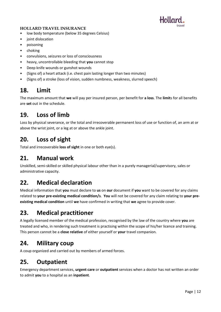

- low body temperature (below 35 degrees Celsius)
- joint dislocation
- poisoning
- choking
- convulsions, seizures or loss of consciousness
- heavy, uncontrollable bleeding that **you** cannot stop
- Deep knife wounds or gunshot wounds
- (Signs of) a heart attack (i.e. chest pain lasting longer than two minutes)
- (Signs of) a stroke (loss of vision, sudden numbness, weakness, slurred speech)

## **18. Limit**

The maximum amount that **we** will pay per insured person, per benefit for **a loss**. The **limit**s for all benefits are **set** out in the schedule.

## **19. Loss of limb**

Loss by physical severance, or the total and irrecoverable permanent loss of use or function of, an arm at or above the wrist joint, or a leg at or above the ankle joint.

## **20. Loss of sight**

Total and irrecoverable **loss of sight** in one or both eye(s).

## **21. Manual work**

Unskilled, semi-skilled or skilled physical labour other than in a purely managerial/supervisory, sales or administrative capacity.

## **22. Medical declaration**

Medical information that **you** must declare to **us** on **our** document if **you** want to be covered for any claims related to **your pre-existing medical condition/s**. **You** will not be covered for any claim relating to **your preexisting medical condition** until **we** have confirmed in writing that **we** agree to provide cover.

## **23. Medical practitioner**

A legally licensed member of the medical profession, recognised by the law of the country where **you** are treated and who, in rendering such treatment is practising within the scope of his/her licence and training. This person cannot be a **close relative** of either yourself or **your** travel companion.

## **24. Military coup**

A coup organized and carried out by members of armed forces.

## **25. Outpatient**

Emergency department services, **urgent care** or **outpatient** services when a doctor has not written an order to admit **you** to a hospital as an **inpatient**.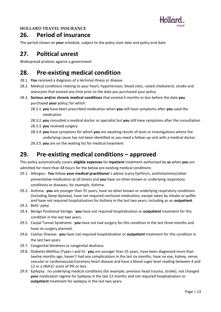

### **26. Period of insurance**

The period shown on **your** schedule, subject to the policy start date and policy end date.

## **27. Political unrest**

Widespread protests against a government

## **28. Pre-existing medical condition**

- 28.1. **You** received a diagnosis of a terminal illness or disease
- 28.2. Medical conditions relating to your heart, hypertension, blood clots, raised cholesterol, stroke and aneurysm that existed any time prior to the date you purchased your policy.
- 28.3. **Serious and/or chronic medical conditions** that existed 6 months or less before the date **you** purchased **your** policy, for which:
	- 28.3.1. **you** have been prescribed medication when **you** still have symptoms after **you** used the medication
	- 28.3.2. **you** consulted a medical doctor or specialist but **you** still have symptoms after the consultation
	- 28.3.3. **you** received surgery
	- 28.3.4. **you** have symptoms for which **you** are awaiting results of tests or investigations where the underlying cause has not been identified or *you* need a follow-up visit with a medical doctor.
	- 28.3.5. **you** are on the waiting list for medical treatment

## **29. Pre-existing medical conditions – approved**

This policy automatically covers **eligible expenses** for **inpatient** treatment authorised by **us** when **you** are admitted for more than 48 hours for the below pre-existing medical conditions:

- 29.1. Allergies: **You** follow **your medical practitioner**'s advice (carry EpiPen/s, antihistamines/other preventative medication at all times) and **you** have no other known or underlying respiratory conditions or diseases, for example, Asthma.
- 29.2. Asthma: **you** are younger than 55 years, have no other known or underlying respiratory conditions (including Sleep Apnoea), have not required cortisone medication, except taken by inhaler or puffer and have not required hospitalisation for Asthma in the last two years, including as an **outpatient**.
- 29.3. Bells' palsy
- 29.4. Benign Positional Vertigo: **you** have not required hospitalisation or **outpatient** treatment for this condition in the last two years.
- 29.5. Carpal Tunnel Syndrome: **you** have not had surgery for this condition in the last three months and have no surgery planned.
- 29.6. Coeliac Disease: **you** have not required hospitalisation or **outpatient** treatment for this condition in the last two years.
- 29.7. Congenital blindness or congenital deafness
- 29.8. Diabetes Mellitus (Types I and II): **you** are younger than 55 years, have been diagnosed more than twelve months ago, haven't had any complications in the last six months, have no eye, kidney, nerve, vascular or cardiovascular/coronary heart disease and have a blood sugar level reading between 4 and 12 or a HbA1C score of 9% or less.
- 29.9. Epilepsy: no underlying medical conditions (for example, previous head trauma, stroke), not changed **your** medication regime for Epilepsy in the last 12 months and not required hospitalisation or **outpatient** treatment for epilepsy in the last two years.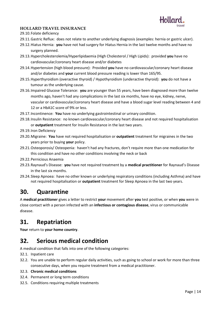

#### 29.10.Folate deficiency

- 29.11.Gastric Reflux: does not relate to another underlying diagnosis (examples: hernia or gastric ulcer).
- 29.12.Hiatus Hernia: **you** have not had surgery for Hiatus Hernia in the last twelve months and have no surgery planned.
- 29.13.Hypercholesterolemia/Hyperlipidaemia (High Cholesterol / High Lipids): provided **you** have no cardiovascular/coronary heart disease and/or diabetes
- 29.14.Hypertension (high blood pressure): Provided **you** have no cardiovascular/coronary heart disease and/or diabetes and **your** current blood pressure reading is lower than 165/95.
- 29.15.Hyperthyroidism (overactive thyroid) / Hypothyroidism (underactive thyroid): **you** do not have a tumour as the underlying cause.
- 29.16.Impaired Glucose Tolerance: **you** are younger than 55 years, have been diagnosed more than twelve months ago, haven't had any complications in the last six months, have no eye, kidney, nerve, vascular or cardiovascular/coronary heart disease and have a blood sugar level reading between 4 and 12 or a HbA1C score of 9% or less.
- 29.17.Incontinence: **You** have no underlying gastrointestinal or urinary condition.
- 29.18.Insulin Resistance: no known cardiovascular/coronary heart disease and not required hospitalisation or **outpatient** treatment for Insulin Resistance in the last two years.
- 29.19.Iron Deficiency
- 29.20.Migraine: **You** have not required hospitalisation or **outpatient** treatment for migraines in the two years prior to buying **your** policy.
- 29.21.Osteoporosis/ Osteopenia: haven't had any fractures, don't require more than one medication for this condition and have no other conditions involving the neck or back
- 29.22.Pernicious Anaemia
- 29.23.Raynaud's Disease: **you** have not required treatment by a **medical practitioner** for Raynaud's Disease in the last six months.
- 29.24.Sleep Apnoea: have no other known or underlying respiratory conditions (including Asthma) and have not required hospitalisation or **outpatient** treatment for Sleep Apnoea in the last two years.

## **30. Quarantine**

A **medical practitioner** gives a letter to restrict **your** movement after **you** test positive, or when **you** were in close contact with a person infected with an **infectious or contagious disease**, virus or communicable disease.

## **31. Repatriation**

**Your** return to **your home country**.

## **32. Serious medical condition**

A medical condition that falls into one of the following categories:

- 32.1. Inpatient care
- 32.2. You are unable to perform regular daily activities, such as going to school or work for more than three consecutive days, when you require treatment from a medical practitioner.
- 32.3. **Chronic medical conditions**
- 32.4. Permanent or long term conditions
- 32.5. Conditions requiring multiple treatments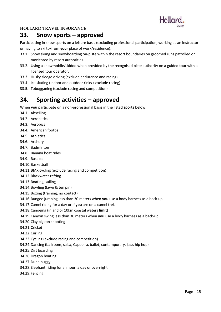

### **33. Snow sports – approved**

Participating in snow sports on a leisure basis (excluding professional participation, working as an instructor or having to ski to/from **your** place of work/residence):

- 33.1. Snow skiing and snowboarding on-piste within the resort boundaries on groomed runs patrolled or monitored by resort authorities.
- 33.2. Using a snowmobile/skidoo when provided by the recognised piste authority on a guided tour with a licensed tour operator.
- 33.3. Husky sledge driving (exclude endurance and racing)
- 33.4. Ice skating (indoor and outdoor rinks / exclude racing)
- 33.5. Tobogganing (exclude racing and competition)

## **34. Sporting activities – approved**

When **you** participate on a non-professional basis in the listed **sports** below:

- 34.1. Abseiling
- 34.2. Acrobatics
- 34.3. Aerobics
- 34.4. American football
- 34.5. Athletics
- 34.6. Archery
- 34.7. Badminton
- 34.8. Banana boat rides
- 34.9. Baseball
- 34.10.Basketball
- 34.11.BMX cycling (exclude racing and competition)
- 34.12.Blackwater rafting
- 34.13.Boating, sailing
- 34.14.Bowling (lawn & ten pin)
- 34.15.Boxing (training, no contact)
- 34.16.Bungee jumping less than 30 meters when **you** use a body harness as a back-up
- 34.17.Camel riding for a day or if **you** are on a camel trek
- 34.18.Canoeing (inland or 10km coastal waters **limit**)
- 34.19.Canyon swing less than 30 meters when **you** use a body harness as a back-up
- 34.20.Clay pigeon shooting
- 34.21.Cricket
- 34.22.Curling
- 34.23.Cycling (exclude racing and competition)
- 34.24.Dancing (ballroom, salsa, Capoeira, ballet, contemporary, jazz, hip hop)
- 34.25.Dirt boarding
- 34.26.Dragon boating
- 34.27.Dune buggy
- 34.28.Elephant riding for an hour, a day or overnight
- 34.29.Fencing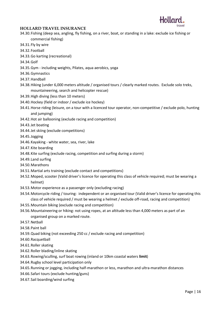

- 34.30.Fishing (deep sea, angling, fly fishing, on a river, boat, or standing in a lake: exclude ice fishing or
	- commercial fishing)
- 34.31.Fly by wire
- 34.32.Football
- 34.33.Go karting (recreational)
- 34.34.Golf
- 34.35.Gym including weights, Pilates, aqua aerobics, yoga
- 34.36.Gymnastics
- 34.37.Handball
- 34.38.Hiking (under 6,000 meters altitude / organised tours / clearly marked routes. Exclude solo treks, mountaineering, search and helicopter rescue)
- 34.39.High diving (less than 10 meters)
- 34.40.Hockey (field or indoor / exclude ice hockey)
- 34.41.Horse riding (leisure, on a tour with a licenced tour operator, non-competitive / exclude polo, hunting and jumping)
- 34.42.Hot air ballooning (exclude racing and competition)
- 34.43.Jet boating
- 34.44.Jet skiing (exclude competitions)
- 34.45.Jogging
- 34.46.Kayaking white water, sea, river, lake
- 34.47.Kite boarding
- 34.48.Kite surfing (exclude racing, competition and surfing during a storm)
- 34.49.Land surfing
- 34.50.Marathons
- 34.51.Martial arts training (exclude contact and competitions)
- 34.52.Moped, scooter (Valid driver's licence for operating this class of vehicle required; must be wearing a helmet)
- 34.53.Motor experience as a passenger only (excluding racing)
- 34.54.Motorcycle riding / touring: independent or an organised tour (Valid driver's licence for operating this class of vehicle required / must be wearing a helmet / exclude off-road, racing and competition)
- 34.55.Mountain biking (exclude racing and competition)
- 34.56.Mountaineering or hiking: not using ropes, at an altitude less than 4,000 meters as part of an organised group on a marked route.
- 34.57.Netball
- 34.58.Paint ball
- 34.59.Quad biking (not exceeding 250 cc / exclude racing and competition)
- 34.60.Racquetball
- 34.61.Roller skating
- 34.62.Roller blading/inline skating
- 34.63.Rowing/sculling, surf boat rowing (inland or 10km coastal waters **limit**)
- 34.64.Rugby school level participation only
- 34.65.Running or jogging, including half-marathon or less, marathon and ultra-marathon distances
- 34.66.Safari tours (exclude hunting/guns)
- 34.67.Sail boarding/wind surfing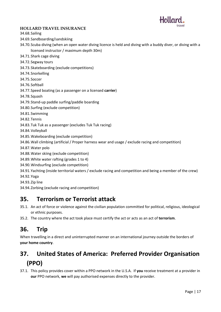

34.68.Sailing

- 34.69.Sandboarding/sandskiing
- 34.70.Scuba diving (when an open water diving licence is held and diving with a buddy diver, or diving with a licensed instructor / maximum depth 30m)
- 34.71.Shark cage diving
- 34.72.Segway tours
- 34.73.Skateboarding (exclude competitions)
- 34.74.Snorkelling
- 34.75.Soccer
- 34.76.Softball
- 34.77.Speed boating (as a passenger on a licensed **carrier**)

34.78.Squash

- 34.79.Stand-up paddle surfing/paddle boarding
- 34.80.Surfing (exclude competition)
- 34.81.Swimming
- 34.82.Tennis
- 34.83.Tuk Tuk as a passenger (excludes Tuk Tuk racing)
- 34.84.Volleyball
- 34.85.Wakeboarding (exclude competition)
- 34.86.Wall climbing (artificial / Proper harness wear and usage / exclude racing and competition)
- 34.87.Water polo
- 34.88.Water skiing (exclude competition)
- 34.89.White water rafting (grades 1 to 4)
- 34.90.Windsurfing (exclude competition)
- 34.91.Yachting (inside territorial waters / exclude racing and competition and being a member of the crew)
- 34.92.Yoga
- 34.93.Zip line
- 34.94.Zorbing (exclude racing and competition)

## **35. Terrorism or Terrorist attack**

- 35.1. An act of force or violence against the civilian population committed for political, religious, ideological or ethnic purposes.
- 35.2. The country where the act took place must certify the act or acts as an act of **terrorism**.

## **36. Trip**

When travelling in a direct and uninterrupted manner on an international journey outside the borders of **your home country**.

## **37. United States of America: Preferred Provider Organisation (PPO)**

37.1. This policy provides cover within a PPO network in the U.S.A. If **you** receive treatment at a provider in **our** PPO network, **we** will pay authorised expenses directly to the provider.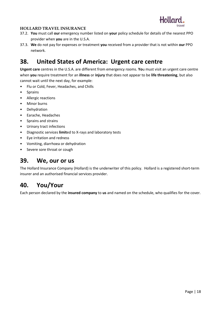

- 37.2. **You** must call **our** emergency number listed on **your** policy schedule for details of the nearest PPO provider when **you** are in the U.S.A.
- 37.3. **We** do not pay for expenses or treatment **you** received from a provider that is not within **our** PPO network.

## **38. United States of America: Urgent care centre**

**Urgent care** centres in the U.S.A. are different from emergency rooms. **Yo**u must visit an urgent care centre when **you** require treatment for an **illness** or **injury** that does not appear to be **life threatening**, but also cannot wait until the next day, for example:

- Flu or Cold, Fever, Headaches, and Chills
- Sprains
- Allergic reactions
- Minor burns
- Dehydration
- Earache, Headaches
- Sprains and strains
- Urinary tract infections
- Diagnostic services **limit**ed to X-rays and laboratory tests
- Eye irritation and redness
- Vomiting, diarrhoea or dehydration
- Severe sore throat or cough

### **39. We, our or us**

The Hollard Insurance Company (Hollard) is the underwriter of this policy. Hollard is a registered short-term insurer and an authorised financial services provider.

## **40. You/Your**

<span id="page-17-0"></span>Each person declared by the **insured company** to **us** and named on the schedule, who qualifies for the cover.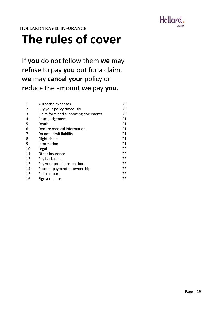

**The rules of cover**

If **you** do not follow them **we** may refuse to pay **you** out for a claim, **we** may **cancel your** policy or reduce the amount **we** pay **you**.

| 1.  | Authorise expenses                  | 20 |
|-----|-------------------------------------|----|
| 2.  | Buy your policy timeously           | 20 |
| 3.  | Claim form and supporting documents | 20 |
| 4.  | Court judgement                     | 21 |
| 5.  | Death                               | 21 |
| 6.  | Declare medical information         | 21 |
| 7.  | Do not admit liability              | 21 |
| 8.  | Flight ticket                       | 21 |
| 9.  | Information                         | 21 |
| 10. | Legal                               | 22 |
| 11. | Other insurance                     | 22 |
| 12. | Pay back costs                      | 22 |
| 13. | Pay your premiums on time           | 22 |
| 14. | Proof of payment or ownership       | 22 |
| 15. | Police report                       | 22 |
| 16. | Sign a release                      | 22 |
|     |                                     |    |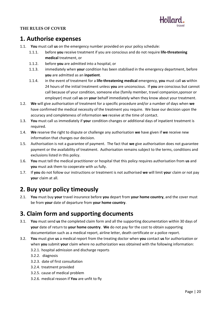

#### **THE RULES OF COVER**

## **1. Authorise expenses**

- 1.1. **You** must call **us** on the emergency number provided on your policy schedule:
	- 1.1.1. before **you** receive treatment if you are conscious and do not require **life-threatening medical** treatment, or
	- 1.1.2. before **you** are admitted into a hospital, or
	- 1.1.3. immediately when **your** condition has been stabilised in the emergency department, before **you** are admitted as an **inpatient**.
	- 1.1.4. in the event of treatment for a **life-threatening medical** emergency, **you** must call **us** within 24 hours of the initial treatment unless **you** are unconscious. If **you** are conscious but cannot call because of your condition, someone else (family member, travel companion,sponsor or employer) must call **us** on **your** behalf immediately when they know about your treatment.
- 1.2. **We** will give authorisation of treatment for a specific procedure and/or a number of days when **we** have confirmed the medical necessity of the treatment you require. We base our decision upon the accuracy and completeness of information **we** receive at the time of contact.
- 1.3. **You** must call us immediately if **you**r condition changes or additional days of inpatient treatment is required.
- 1.4. **We** reserve the right to dispute or challenge any authorisation **we** have given if **we** receive new information that changes our decision.
- 1.5. Authorisation is not a guarantee of payment. The fact that **we** give authorisation does not guarantee payment or the availability of treatment. Authorisation remains subject to the terms, conditions and exclusions listed in this policy.
- 1.6. **You** must tell the medical practitioner or hospital that this policy requires authorisation from **us** and **you** must ask them to cooperate with us fully.
- 1.7. If **you** do not follow our instructions or treatment is not authorised **we** will limit **you**r claim or not pay **you**r claim at all.

## **2. Buy your policy timeously**

2.1. **You** must buy **your** travel insurance before **you** depart from **your home country**, and the cover must be from **your** date of departure from **your home country**.

## **3. Claim form and supporting documents**

- 3.1. **You** must send **us** the completed claim form and all the supporting documentation within 30 days of **your** date of return to **your home country**. **We** do not pay for the cost to obtain supporting documentation such as a medical report, airline letter, death certificate or a police report.
- 3.2. **You** must give **us** a medical report from the treating doctor when **you** contact **us** for authorization or when **you** submit **your** claim where no authorization was obtained with the following information:
	- 3.2.1. hospital admission and discharge reports
	- 3.2.2. diagnosis
	- 3.2.3. date of first consultation
	- 3.2.4. treatment provided
	- 3.2.5. cause of medical problem
	- 3.2.6. medical reason if **You** are unfit to fly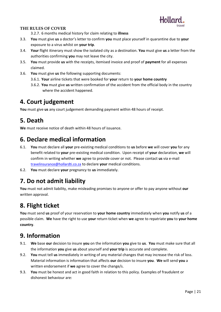

#### **THE RULES OF COVER**

3.2.7. 6 months medical history for claim relating to **illness**

- 3.3. **You** must give **us** a doctor's letter to confirm **you** must place yourself in quarantine due to **your** exposure to a virus whilst on **your trip**.
- 3.4. **Your** flight itinerary must show the isolated city as a destination. **You** must give **us** a letter from the authorities confirming **you** may not leave the city.
- 3.5. **You** must provide **us** with the receipts, itemised invoice and proof of **payment** for all expenses claimed.
- 3.6. **You** must give **us** the following supporting documents:
	- 3.6.1. **Your** airline tickets that were booked for **your** return to **your home country**
	- 3.6.2. **You** must give **us** written confirmation of the accident from the official body in the country where the accident happened.

## **4. Court judgement**

**You** must give **us** any court judgement demanding payment within 48 hours of receipt.

## **5. Death**

**We** must receive notice of death within 48 hours of issuance.

## **6. Declare medical information**

- 6.1. **You** must declare all **your** pre-existing medical conditions to **us** before **we** will cover **you** for any benefit related to **your** pre-existing medical condition. Upon receipt of **your** declaration, **we** will confirm in writing whether **we** agree to provide cover or not. Please contact **us** via e-mail [travelinsurance@hollardti.co.za](mailto:travelinsurance@hollardti.co.za) to declare **your** medical conditions.
- 6.2. **You** must declare **your** pregnancy to **us** immediately.

## **7. Do not admit liability**

**You** must not admit liability, make misleading promises to anyone or offer to pay anyone without **our** written approval.

## **8. Flight ticket**

**You** must send **us** proof of your reservation to **your home country** immediately when **you** notify **us** of a possible claim. **We** have the right to use **your** return ticket when **we** agree to repatriate **you** to **your home country**.

## **9. Information**

- 9.1. **We** base **our** decision to insure **you** on the information **you** give to **us**. **You** must make sure that all the information **you** give **us** about yourself and **your trip** is accurate and complete.
- 9.2. **You** must tell **us** immediately in writing of any material changes that may increase the risk of loss. Material information is information that affects **our** decision to insure **you**. **We** will send **you** a written endorsement if **we** agree to cover the change/s.
- 9.3. **You** must be honest and act in good faith in relation to this policy. Examples of fraudulent or dishonest behaviour are: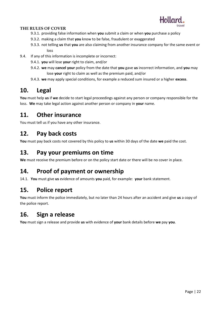

#### **THE RULES OF COVER**

- 9.3.1. providing false information when **you** submit a claim or when **you** purchase a policy
- 9.3.2. making a claim that **you** know to be false, fraudulent or exaggerated
- 9.3.3. not telling **us** that **you** are also claiming from another insurance company for the same event or loss
- 9.4. If any of this information is incomplete or incorrect:
	- 9.4.1. **you** will lose **your** right to claim, and/or
	- 9.4.2. **we** may **cancel your** policy from the date that **you** gave **us** incorrect information, and **you** may lose **your** right to claim as well as the premium paid, and/or
	- 9.4.3. **we** may apply special conditions, for example a reduced sum insured or a higher **excess**.

## **10. Legal**

**You** must help **us** if **we** decide to start legal proceedings against any person or company responsible for the loss. **We** may take legal action against another person or company in **your** name.

## **11. Other insurance**

You must tell us if you have any other insurance.

## **12. Pay back costs**

**You** must pay back costs not covered by this policy to **us** within 30 days of the date **we** paid the cost.

## **13. Pay your premiums on time**

We must receive the premium before or on the policy start date or there will be no cover in place.

## **14. Proof of payment or ownership**

14.1. **You** must give **us** evidence of amounts **you** paid, for example: **your** bank statement.

## **15. Police report**

**You** must inform the police immediately, but no later than 24 hours after an accident and give **us** a copy of the police report.

## **16. Sign a release**

**You** must sign a release and provide **us** with evidence of **your** bank details before **we** pay **you**.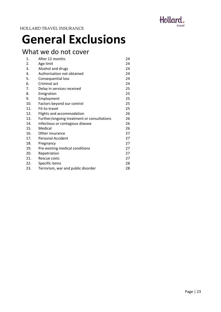

## <span id="page-22-0"></span>**General Exclusions**

## What we do not cover

| 1.  | After 12 months                            | 24 |
|-----|--------------------------------------------|----|
| 2.  | Age limit                                  | 24 |
| 3.  | Alcohol and drugs                          | 24 |
| 4.  | Authorisation not obtained                 | 24 |
| 5.  | Consequential loss                         | 24 |
| 6.  | Criminal act                               | 24 |
| 7.  | Delay in services received                 | 25 |
| 8.  | Emigration                                 | 25 |
| 9.  | Employment                                 | 25 |
| 10. | Factors beyond our control                 | 25 |
| 11. | Fit-to-travel                              | 25 |
| 12. | Flights and accommodation                  | 26 |
| 13. | Further/ongoing treatment or consultations | 26 |
| 14. | Infectious or contagious disease           | 26 |
| 15. | Medical                                    | 26 |
| 16. | Other insurance                            | 27 |
| 17. | <b>Personal Accident</b>                   | 27 |
| 18. | Pregnancy                                  | 27 |
| 19. | Pre-existing medical conditions            | 27 |
| 20. | Repatriation                               | 27 |
| 21. | Rescue costs                               | 27 |
| 22. | Specific items                             | 28 |
| 23. | Terrorism, war and public disorder         | 28 |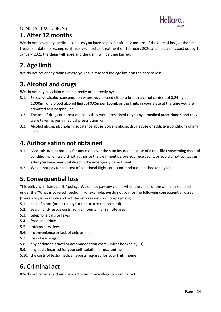

## **1. After 12 months**

**We** do not cover any medical expenses **you** have to pay for after 12 months of the date of loss, or the first treatment date, for example: if received medical treatment on 1 January 2020 and no claim is paid out by 1 January 2021 the claim will lapse and the claim will be time barred.

## **2. Age limit**

**We** do not cover any claims where **you** have reached the age **limit** on the date of loss.

## **3. Alcohol and drugs**

**We** do not pay any claim caused directly or indirectly by:

- 3.1. Excessive alcohol consumption where **you** exceed either a breath alcohol content of 0.24mg per 1,000ml, or a blood alcohol **limit** of 0.05g per 100ml, or the limits in **your** state at the time **you** are admitted to a hospital, or
- 3.2. The use of drugs or narcotics unless they were prescribed to **you** by a **medical practitioner**, and they were taken as per a medical prescription, or
- 3.3. Alcohol abuse, alcoholism, substance abuse, solvent abuse, drug abuse or addictive conditions of any kind.

## **4. Authorisation not obtained**

- 4.1. Medical: **We** do not pay for any costs over the sum insured because of a non-**life threatening** medical condition when **we** did not authorise the treatment before **you** received it, or **you** did not contact **us** after **you** have been stabilised in the emergency department.
- 4.2. **We** do not pay for the cost of additional flights or accommodation not booked by **us**.

## **5. Consequential loss**

This policy is a "listed perils" policy. **We** do not pay any claims when the cause of the claim is not listed under the "What is covered" section. For example, **we** do not pay for the following consequential losses (these are just example and not the only reasons for non-payment):

- 5.1. cost of a taxi (other than **your** first **trip** to the hospital)
- 5.2. search and/rescue costs from a mountain or remote area
- 5.3. telephone calls or faxes
- 5.4. food and drinks
- 5.5. Interpreters' fees
- 5.6. Inconvenience or lack of enjoyment
- 5.7. loss of earnings
- 5.8. any additional travel or accommodation costs (unless booked by **us**)
- 5.9. any costs incurred for **your** self-isolation or **quarantine**
- 5.10. the costs of tests/medical reports required for **your** flight **home**

## **6. Criminal act**

**We** do not cover any claims related to **your** own illegal or criminal act.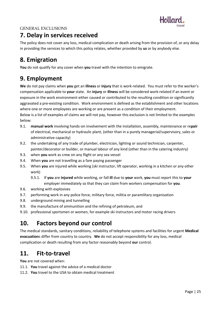

## **7. Delay in services received**

The policy does not cover any loss, medical complication or death arising from the provision of, or any delay in providing the services to which this policy relates, whether provided by **us** or by anybody else.

## **8. Emigration**

**You** do not qualify for any cover when **you** travel with the intention to emigrate.

## **9. Employment**

**We** do not pay claims when **you** get an **illness** or **injury** that is work-related. You must refer to the worker's compensation applicable to **your** state. An **injury** or **illness** will be considered work-related if an event or exposure in the work environment either caused or contributed to the resulting condition or significantly aggravated a pre-existing condition. Work environment is defined as the establishment and other locations where one or more employees are working or are present as a condition of their employment. Below is a list of examples of claims we will not pay, however this exclusion is not limited to the examples below:

- 9.1. **manual work** involving hands-on involvement with the installation, assembly, maintenance or re**pair** of electrical, mechanical or hydraulic plant, (other than in a purely managerial/supervisory, sales or administrative capacity)
- 9.2. the undertaking of any trade of plumber, electrician, lighting or sound technician, carpenter, painter/decorator or builder, or manual labour of any kind (other than in the catering industry)
- 9.3. when **you** work as crew on any flight or any sea vessel
- 9.4. When **you** are not travelling as a fare paying passenger
- 9.5. When **you** are injured while working (ski instructor, lift operator, working in a kitchen or any other work)
	- 9.5.1. If **you** are **injured** while working, or fall **ill** due to **your** work, **you** must report this to **your** employer immediately so that they can claim from workers compensation for **you**.
- 9.6. working with explosives
- 9.7. performing work in any police force, military force, militia or paramilitary organisation
- 9.8. underground mining and tunnelling
- 9.9. the manufacture of ammunition and the refining of petroleum, and
- 9.10. professional sportsmen or women, for example ski instructors and motor racing drivers

## **10. Factors beyond our control**

The medical standards, sanitary conditions, reliability of telephone systems and facilities for urgent **Medical evacuation**s differ from country to country. **We** do not accept responsibility for any loss, medical complication or death resulting from any factor reasonably beyond **our** control.

## **11. Fit-to-travel**

**You** are not covered when:

- 11.1. **You** travel against the advice of a medical doctor
- 11.2. **You** travel to the USA to obtain medical treatment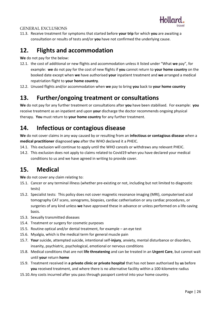

11.3. Receive treatment for symptoms that started before **your trip** for which **you** are awaiting a consultation or results of tests and/or **you** have not confirmed the underlying cause.

### **12. Flights and accommodation**

**We** do not pay for the below:

- 12.1. the cost of additional or new flights and accommodation unless it listed under "What **we** pay", for example: **we** do not pay for the cost of new flights if **you** cannot return to **your home country** on the booked date except when **we** have authorised **your** inpatient treatment and **we** arranged a medical repatriation flight to **your home country**.
- 12.2. Unused flights and/or accommodation when **we** pay to bring **you** back to **your home country**

## **13. Further/ongoing treatment or consultations**

**We** do not pay for any further treatment or consultations after **you** have been stabilised. For example: **you** receive treatment as an inpatient and upon **your** discharge the doctor recommends ongoing physical therapy. **You** must return to **your home country** for any further treatment.

## **14. Infectious or contagious disease**

**We** do not cover claims in any way caused by or resulting from an **infectious or contagious disease** when a **medical practitioner** diagnosed **you** after the WHO declared it a PHEIC.

- 14.1. This exclusion will continue to apply until the WHO cancels or withdraws any relevant PHEIC.
- 14.2. This exclusion does not apply to claims related to Covid19 when you have declared your medical conditions to us and we have agreed in writing to provide cover.

## **15. Medical**

**We** do not cover any claim relating to:

- 15.1. Cancer or any terminal illness (whether pre-existing or not, including but not limited to diagnostic tests)
- 15.2. Specialist tests: This policy does not cover magnetic resonance imaging (MRI), computerised acial tomography CAT scans, sonograms, biopsies, cardiac catherisation or any cardiac procedures, or surgeries of any kind unless **we** have approved these in advance or unless performed on a life-saving basis.
- 15.3. Sexually transmitted diseases
- 15.4. Treatment or surgery for cosmetic purposes
- 15.5. Routine optical and/or dental treatment, for example an eye test
- 15.6. Myalgia, which is the medical term for general muscle pain
- 15.7. **Your** suicide, attempted suicide, intentional self-**injury**, anxiety, mental disturbance or disorders, insanity, psychiatric, psychological, emotional or nervous conditions
- 15.8. Medical conditions that are not **life threatening** and can be treated in an **Urgent Care**, but cannot wait until **your** return **home**
- 15.9. Treatment received in **a private clinic or private hospital** that has not been authorised by **us** before **you** received treatment, and where there is no alternative facility within a 100-kilometre radius
- 15.10.Any costs incurred after you pass through passport control into your home country.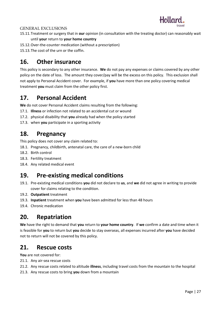

- 15.11.Treatment or surgery that in **our** opinion (in consultation with the treating doctor) can reasonably wait until **your** return to **your home country**
- 15.12.Over-the-counter medication (without a prescription)
- 15.13.The cost of the urn or the coffin.

## **16. Other insurance**

This policy is secondary to any other insurance. **We** do not pay any expenses or claims covered by any other policy on the date of loss. The amount they cover/pay will be the excess on this policy. This exclusion shall not apply to Personal Accident cover. For example, if **you** have more than one policy covering medical treatment **you** must claim from the other policy first.

## **17. Personal Accident**

**We** do not cover Personal Accident claims resulting from the following:

- 17.1. **Illness** or infection not related to an accidental cut or wound
- 17.2. physical disability that **you** already had when the policy started
- 17.3. when **you** participate in a sporting activity

### **18. Pregnancy**

This policy does not cover any claim related to:

- 18.1. Pregnancy, childbirth, antenatal care, the care of a new-born child
- 18.2. Birth control
- 18.3. Fertility treatment
- 18.4. Any related medical event

## **19. Pre-existing medical conditions**

- 19.1. Pre-existing medical conditions **you** did not declare to **us**, and **we** did not agree in writing to provide cover for claims relating to the condition.
- 19.2. **Outpatient** treatment
- 19.3. **Inpatient** treatment when **you** have been admitted for less than 48 hours
- 19.4. Chronic medication

## **20. Repatriation**

**We** have the right to demand that **you** return to **your home country**. If **we** confirm a date and time when it is feasible for **you** to return but **you** decide to stay overseas, all expenses incurred after **you** have decided not to return will not be covered by this policy.

### **21. Rescue costs**

**You** are not covered for:

- 21.1. Any air-sea rescue costs
- 21.2. Any rescue costs related to altitude **illness**, including travel costs from the mountain to the hospital
- 21.3. Any rescue costs to bring **you** down from a mountain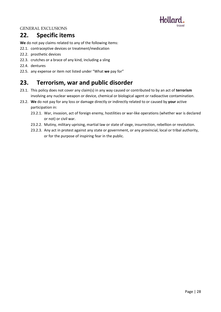

## **22. Specific items**

**We** do not pay claims related to any of the following items:

- 22.1. contraceptive devices or treatment/medication
- 22.2. prosthetic devices
- 22.3. crutches or a brace of any kind, including a sling
- 22.4. dentures
- 22.5. any expense or item not listed under "What **we** pay for"

## **23. Terrorism, war and public disorder**

- 23.1. This policy does not cover any claim(s) in any way caused or contributed to by an act of **terrorism** involving any nuclear weapon or device, chemical or biological agent or radioactive contamination.
- 23.2. **We** do not pay for any loss or damage directly or indirectly related to or caused by **your** active participation in:
	- 23.2.1. War, invasion, act of foreign enemy, hostilities or war-like operations (whether war is declared or not) or civil war.
	- 23.2.2. Mutiny, military uprising, martial law or state of siege, insurrection, rebellion or revolution.
	- 23.2.3. Any act in protest against any state or government, or any provincial, local or tribal authority, or for the purpose of inspiring fear in the public.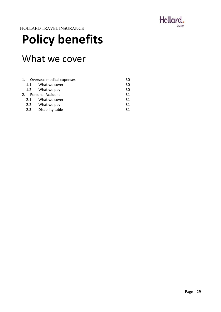

## <span id="page-28-0"></span>**Policy benefits**

## What we cover

| 1.  | Overseas medical expenses | 30 |
|-----|---------------------------|----|
| 1.1 | What we cover             | 30 |
|     | 1.2 What we pay           | 30 |
| 2.  | <b>Personal Accident</b>  | 31 |
|     | 2.1. What we cover        | 31 |
|     | 2.2. What we pay          | 31 |
|     | 2.3. Disability table     | 31 |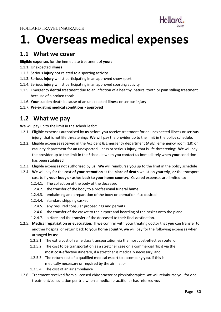

## <span id="page-29-0"></span>**1. Overseas medical expenses**

### **1.1 What we cover**

**Eligible expenses** for the immediate treatment of **your**:

- 1.1.1. Unexpected **illness**
- 1.1.2. Serious **injury** not related to a sporting activity
- 1.1.3. Serious **injury** whilst participating in an approved snow sport
- 1.1.4. Serious **injury** whilst participating in an approved sporting activity
- 1.1.5. Emergency **dental** treatment due to an infection of a healthy, natural tooth or pain stilling treatment because of a broken tooth
- 1.1.6. **Your** sudden death because of an unexpected **illness** or serious **injury**
- 1.1.7. **Pre-existing medical conditions - approved**

## **1.2 What we pay**

**We** will pay up to the **limit** in the schedule for:

- 1.2.1. Eligible expenses authorised by **us** before **you** receive treatment for an unexpected illness or se**rious** injury, that is not life threatening: **We** will pay the provider up to the limit in the policy schedule.
- 1.2.2. Eligible expenses received in the Accident & Emergency department (A&E), emergency room (ER) or casualty department for an unexpected illness or serious injury, that is life threatening: **We** will pay the provider up to the limit in the Schedule when **you** contact **us** immediately when **you**r condition has been stabilised
- 1.2.3. Eligible expenses not authorised by **us**: **We** will reimburse **you** up to the limit in the policy schedule
- 1.2.4. **We** will pay for the **cost of your cremation** at the **place of death** whilst on **your trip**, **or** the transport cost to fly **your body or ashes back to your home country.** Covered expenses are **limit**ed to:
	- 1.2.4.1. The collection of the body of the deceased
	- 1.2.4.2. the transfer of the body to a professional funeral **home**
	- 1.2.4.3. embalming and preparation of the body or cremation if so desired
	- 1.2.4.4. standard shipping casket
	- 1.2.4.5. any required consular proceedings and permits
	- 1.2.4.6. the transfer of the casket to the airport and boarding of the casket onto the plane
	- 1.2.4.7. airfare and the transfer of the deceased to their final destination.
- 1.2.5. **Medical repatriation or evacuation:** If **we** confirm with **your** treating doctor that **you** can transfer to another hospital or return back to **your home country**, **we** will pay for the following expenses when arranged by **us**:
	- 1.2.5.1. The extra cost of same class transportation via the most cost-effective route, or
	- 1.2.5.2. The cost to be transportation as a stretcher case on a commercial flight via the most cost-effective itinerary, if a stretcher is medically necessary, and
	- 1.2.5.3. The return cost of a qualified medical escort to accompany **you**, if this is medically necessary or required by the airline, or
	- 1.2.5.4. The cost of an air ambulance
- 1.2.6. Treatment received from a licensed chiropractor or physiotherapist: **we** will reimburse you for one treatment/consultation per trip when a medical practitioner has referred y**ou**.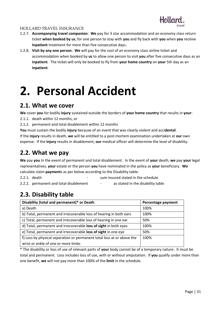

- 1.2.7. **Accompanying travel companion**: **We** pay for 3 star accommodation and an economy class return ticket **when booked by us**, for one person to stay with **you** and fly back with **you** when **you** receive **Inpatient** treatment for more than five consecutive days.
- 1.2.8. **Visit by any one person**: **We** will pay for the cost of an economy class airline ticket and accommodation when booked by **us** to allow one person to visit **you** after five consecutive days as an **inpatient**. The ticket will only be booked to fly from **your home country** on **your** 5th day as an **inpatient**.

## <span id="page-30-0"></span>**2. Personal Accident**

### **2.1. What we cover**

**We** cover **you** for bodily **injury** sustained outside the borders of **your home country** that results in **your**:

- 2.1.1. death within 12 months, or
- 2.1.2. permanent and total disablement within 12 months

**You** must sustain the bodily **injury** because of an event that was clearly violent and acci**dental**. If the **injury** results in death, **we** will be entitled to a post-mortem examination undertaken at **our** own expense. If the **injury** results in disablement, **our** medical officer will determine the level of disability.

## **2.2. What we pay**

**We** pay **you** In the event of permanent and total disablement. In the event of **your** death, **we** pay **your** legal representatives, **your** estate or the person **you** have nominated in the policy as **your** beneficiary. **We** calculate claim **payment**s as per below according to the Disability table:

2.2.1. death **come contract in the schedule** contract sum insured stated in the schedule

2.2.2. permanent and total disablement - as stated in the disability table

## **2.3. Disability table**

| Disability (total and permanent)* or Death                             | Percentage payment |
|------------------------------------------------------------------------|--------------------|
| a) Death                                                               | 100%               |
| b) Total, permanent and irrecoverable loss of hearing in both ears     | 100%               |
| c) Total, permanent and irrecoverable loss of hearing in one ear       | 50%                |
| d) Total, permanent and irrecoverable loss of sight in both eyes       | 100%               |
| e) Total, permanent and irrecoverable loss of sight in one eye         | 50%                |
| f) Loss by physical separation or permanent total loss at or above the | 100%               |
| wrist or ankle of one or more limbs                                    |                    |

\* The disability or loss of use of relevant parts of **your** body cannot be of a temporary nature. It must be total and permanent. Loss includes loss of use, with or without amputation. If **you** qualify under more than one benefit, **we** will not pay more than 100% of the **limit** in the schedule.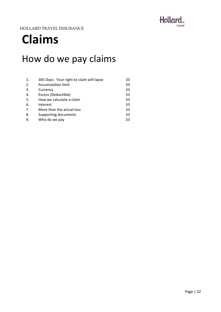

## <span id="page-31-0"></span>**Claims**

## How do we pay claims

| 1. | 365 Days: Your right to claim will lapse | 33 |
|----|------------------------------------------|----|
| 2. | <b>Accumulation limit</b>                | 33 |
| 3. | Currency                                 | 33 |
| 4. | Excess (Deductible)                      | 33 |
| 5. | How we calculate a claim                 | 33 |
| 6. | Interest                                 | 33 |
| 7. | More than the actual loss                | 33 |
| 8. | Supporting documents                     | 33 |
| 9. | Who do we pay                            | 33 |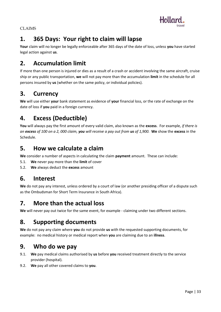

CLAIMS

## **1. 365 Days: Your right to claim will lapse**

**Your** claim will no longer be legally enforceable after 365 days of the date of loss, unless **you** have started legal action against **us**.

## **2. Accumulation limit**

If more than one person is injured or dies as a result of a crash or accident involving the same aircraft, cruise ship or any public transportation, **we** will not pay more than the accumulation **limit** in the schedule for all persons insured by **us** (whether on the same policy, or individual policies).

## **3. Currency**

**We** will use either **your** bank statement as evidence of **your** financial loss, or the rate of exchange on the date of loss if **you** paid in a foreign currency.

## **4. Excess (Deductible)**

**You** will always pay the first amount of every valid claim, also known as the **excess**. For example, *if there is an excess of 100 on a 2, 000 claim, you will receive a pay out from us of 1,900.* **We** show the **excess** in the Schedule.

## **5. How we calculate a claim**

**We** consider a number of aspects in calculating the claim **payment** amount. These can include:

- 5.1. **We** never pay more than the **limit** of cover
- 5.2. **We** always deduct the **excess** amount

## **6. Interest**

**We** do not pay any interest, unless ordered by a court of law (or another presiding officer of a dispute such as the Ombudsman for Short Term Insurance in South Africa).

## **7. More than the actual loss**

**We** will never pay out twice for the same event, for example - claiming under two different sections.

## **8. Supporting documents**

**We** do not pay any claim where **you** do not provide **us** with the requested supporting documents, for example: no medical history or medical report when **you** are claiming due to an **illness**.

## **9. Who do we pay**

- 9.1. **We** pay medical claims authorised by **us** before **you** received treatment directly to the service provider (hospital).
- 9.2. **We** pay all other covered claims to **you**.